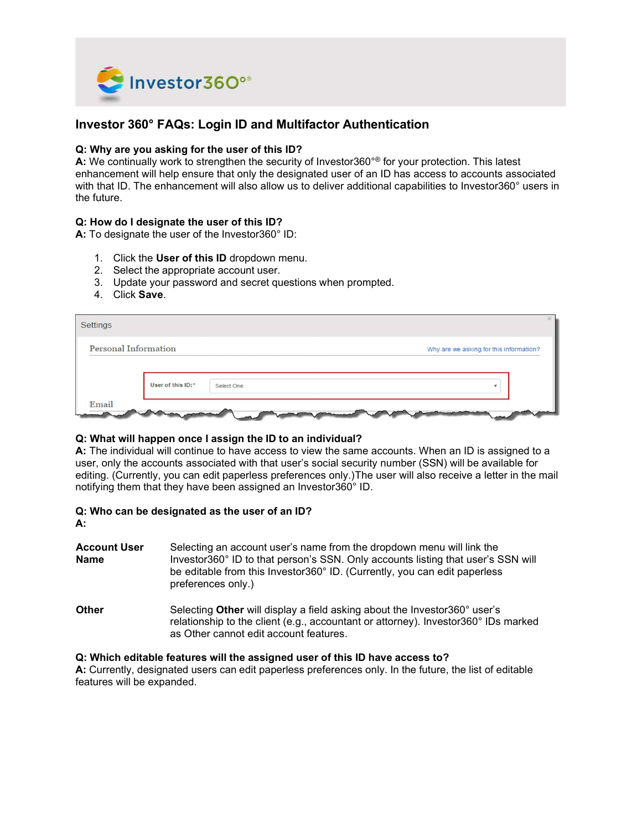

# Investor 360° FAQs: Login ID and Multifactor Authentication

# Q: Why are you asking for the user of this ID?

A: We continually work to strengthen the security of Investor360<sup>o®</sup> for your protection. This latest enhancement will help ensure that only the designated user of an ID has access to accounts associated with that ID. The enhancement will also allow us to deliver additional capabilities to Investor360° users in the future.

## Q: How do I designate the user of this ID?

A: To designate the user of the Investor360° ID:

- 1. Click the User of this ID dropdown menu.
- 2. Select the appropriate account user.
- 3. Update your password and secret questions when prompted.
- 4. Click Save.

| Settings             |                   |            | ×                                            |
|----------------------|-------------------|------------|----------------------------------------------|
| Personal Information |                   |            | Why are we asking for this information?      |
|                      | User of this ID:* | Select One |                                              |
| Email                |                   |            | and the first state of the local division of |

## Q: What will happen once I assign the ID to an individual?

A: The individual will continue to have access to view the same accounts. When an ID is assigned to a user, only the accounts associated with that user's social security number (SSN) will be available for editing. (Currently, you can edit paperless preferences only.) The user will also receive a letter in the mail notifying them that they have been assigned an Investor360° ID.

# Q: Who can be designated as the user of an ID?

| Account User<br>Name | Selecting an account user's name from the dropdown menu will link the<br>Investor360° ID to that person's SSN. Only accounts listing that user's SSN will<br>be editable from this Investor 360° ID. (Currently, you can edit paperless<br>preferences only.) |
|----------------------|---------------------------------------------------------------------------------------------------------------------------------------------------------------------------------------------------------------------------------------------------------------|
| Other                | Selecting Other will display a field asking about the Investor 360° user's<br>relationship to the client (e.g., accountant or attorney). Investor360° IDs marked<br>as Other cannot edit account features.                                                    |

# Q: Which editable features will the assigned user of this ID have access to?

A: Currently, designated users can edit paperless preferences only. In the future, the list of editable features will be expanded.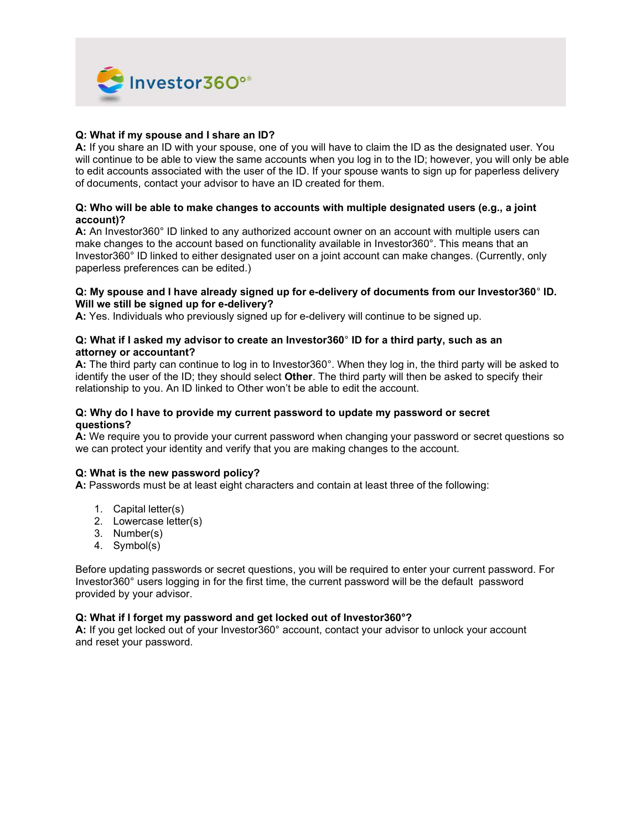

# Q: What if my spouse and I share an ID?

A: If you share an ID with your spouse, one of you will have to claim the ID as the designated user. You will continue to be able to view the same accounts when you log in to the ID; however, you will only be able to edit accounts associated with the user of the ID. If your spouse wants to sign up for paperless delivery of documents, contact your advisor to have an ID created for them.

## Q: Who will be able to make changes to accounts with multiple designated users (e.g., a joint account)?

A: An Investor360° ID linked to any authorized account owner on an account with multiple users can make changes to the account based on functionality available in Investor360°. This means that an Investor360° ID linked to either designated user on a joint account can make changes. (Currently, only paperless preferences can be edited.)

#### Q: My spouse and I have already signed up for e-delivery of documents from our Investor360° ID. Will we still be signed up for e-delivery?

A: Yes. Individuals who previously signed up for e-delivery will continue to be signed up.

#### Q: What if I asked my advisor to create an Investor360° ID for a third party, such as an attorney or accountant?

A: The third party can continue to log in to Investor360°. When they log in, the third party will be asked to identify the user of the ID; they should select **Other**. The third party will then be asked to specify their relationship to you. An ID linked to Other won't be able to edit the account.

#### Q: Why do I have to provide my current password to update my password or secret questions?

A: We require you to provide your current password when changing your password or secret questions so we can protect your identity and verify that you are making changes to the account.

## Q: What is the new password policy?

A: Passwords must be at least eight characters and contain at least three of the following:

- 1. Capital letter(s)
- 2. Lowercase letter(s)
- 3. Number(s)
- 4. Symbol(s)

Before updating passwords or secret questions, you will be required to enter your current password. For Investor360° users logging in for the first time, the current password will be the default password provided by your advisor.

## Q: What if I forget my password and get locked out of Investor360°?

A: If you get locked out of your Investor360° account, contact your advisor to unlock your account and reset your password.